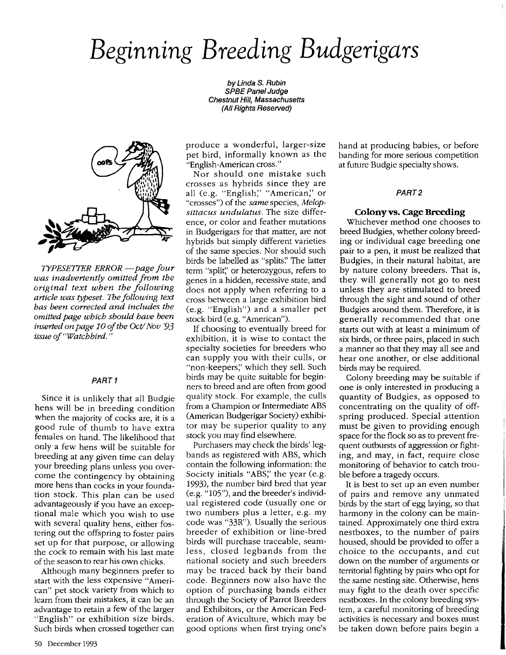# *Beginning Breeding Budgerigars*

by Linda S. Rubin SPBE Panel JUdge Chestnut Hill, Massachusetts (All Rights Reserved)



*TYPESE1TER ERROR -page four was inadvertently omitted from the original text when the following article was typeset.* The *following text has heen corrected and includes the omitted page which should have heen inserted on page* 10 *ofthe Oct/Nov '93 issue of "Watchhird. "*

#### PART 1

Since it is unlikely that all Budgie hens will be in breeding condition when the majority of cocks are, it is a good rule of thumb to have extra females on hand. The likelihood that only a few hens will be suitable for breeding at any given time can delay your breeding plans unless you overcome the contingency by obtaining more hens than cocks in your foundation stock. This plan can be used advantageously if you have an exceptional male which you wish to use with several quality hens, either fostering out the offspring to foster pairs set up for that purpose, or allowing the cock to remain with his last mate of the season to rear his own chicks.

Although many beginners prefer to start with the less expensive "American" pet stock variety from which to learn from their mistakes, it can be an advantage to retain a few of the larger "English" or exhibition size birds. Such birds when crossed together can produce a wonderful, larger-size pet bird, informally known as the "English-American cross."

Nor should one mistake such crosses as hybrids since they are all (e.g. "English;' "American;' or "crosses") of the *same* species, *Melopsittacus undulatus.* The size difference, or color and feather mutations in Budgerigars for that matter, are not hybrids but simply different varieties of the same species. Nor should such birds be labelled as "splits." The latter term "split;' or heterozygous, refers to genes in a hidden, recessive state, and does not apply when referring to a cross between a large exhibition bird (e.g. "English") and a smaller pet stock bird (e.g. "American").

If choosing to eventually breed for exhibition, it is wise to contact the specialty societies for breeders who can supply you with their culls, or "non-keepers;' which they sell. Such birds may be quite suitable for beginners to breed and are often from good quality stock. For example, the culls from a Champion or Intermediate ABS (American Budgerigar Society) exhibitor may be superior quality to any stock you may find elsewhere.

Purchasers may check the birds' legbands as registered with ABS, which contain the following information: the Society initials "ABS;' the year (e.g. 1993), the number bird bred that year (e.g. "105"), and the breeder's individual registered code (usually one or two numbers plus a letter, e.g. my code was "33R"). Usually the serious breeder of exhibition or line-bred birds will purchase traceable, seamless, closed legbands from the national society and such breeders may be traced back by their band code. Beginners now also have the option of purchasing bands either through the Society of Parrot Breeders and Exhibitors, or the American Federation of Aviculture, which may be good options when first trying one's hand at producing babies, or before banding for more serious competition at future Budgie specialty shows.

### PART2

#### **Colony**vs. Cage **Breeding**

Whichever method one chooses to breed Budgies, whether colony breeding or individual cage breeding one pair to a pen, it must be realized that Budgies, in their natural habitat, are by nature colony breeders. That is, they will generally not go to nest unless they are stimulated to breed through the sight and sound of other Budgies around them. Therefore, it is generally recommended that one starts out with at least a minimum of six birds, or three pairs, placed in such a manner so that they may all see and hear one another, or else additional birds may be required.

Colony breeding may be suitable if one is only interested in producing a quantity of Budgies, as opposed to concentrating on the quality of offspring produced. Special attention must be given to providing enough space for the flock so as to prevent frequent outbursts of aggression or fighting, and may, in fact, require close monitoring of behavior to catch trouble before a tragedy occurs.

It is best to set up an even number of pairs and remove any unmated birds by the start of egg laying, so that harmony in the colony can be maintained. Approximately one third extra nestboxes, to the number of pairs housed, should be provided to offer a choice to the occupants, and cut down on the number of arguments or territorial fighting by pairs who opt for the same nesting site. Otherwise, hens may fight to the death over specific nestboxes. In the colony breeding system, a careful monitoring of breeding activities is necessary and boxes must be taken down before pairs begin a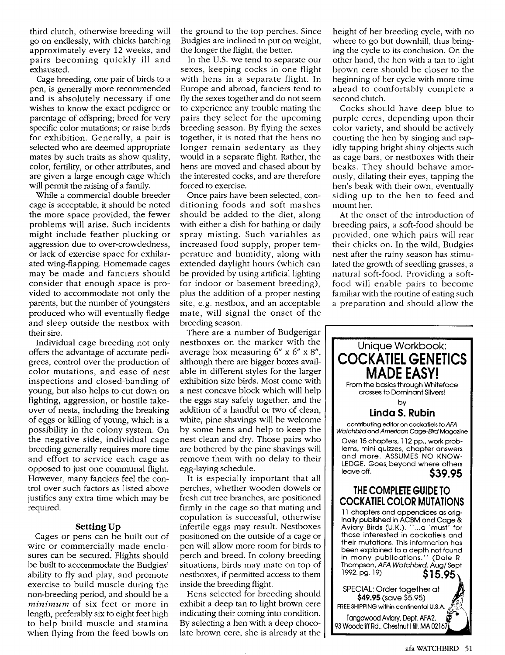third clutch, otherwise breeding will go on endlessly, with chicks hatching approximately every 12 weeks, and pairs becoming quickly ill and exhausted.

Cage breeding, one pair of birds to a pen, is generally more recommended and is absolutely necessary if one wishes to know the exact pedigree or parentage of offspring; breed for very specific color mutations; or raise birds for exhibition. Generally, a pair is selected who are deemed appropriate mates by such traits as show quality, color, fertility, or other attributes, and are given a large enough cage which will permit the raising of a family.

While a commercial double breeder cage is acceptable, it should be noted the more space provided, the fewer problems will arise. Such incidents might include feather plucking or aggression due to over-crowdedness, or lack of exercise space for exhilarated wing-flapping. Homemade cages may be made and fanciers should consider that enough space is provided to accommodate not only the parents, but the number of youngsters produced who will eventually fledge and sleep outside the nestbox with their sire.

Individual cage breeding not only offers the advantage of accurate pedigrees, control over the production of color mutations, and ease of nest inspections and closed-banding of young, but also helps to cut down on fighting, aggression, or hostile takeover of nests, including the breaking of eggs or killing of young, which is a possibility in the colony system. On the negative side, individual cage breeding generally requires more time and effort to service each cage as opposed to just one communal flight. However, many fanciers feel the control over such factors as listed above justifies any extra time which may be required.

### Setting Up

Cages or pens can be built out of wire or commercially made enclosures can be secured. Flights should be built to accommodate the Budgies' ability to fly and play, and promote exercise to build muscle during the non-breeding period, and should be a *minimum* of six feet or more in length, preferably six to eight feet high to help build muscle and stamina when flying from the feed bowls on

the ground to the top perches. Since Budgies are inclined to put on weight, the longer the flight, the better.

In the U.S. we tend to separate our sexes, keeping cocks in one flight with hens in a separate flight. In Europe and abroad, fanciers tend to fly the sexes together and do not seem to experience any trouble mating the pairs they select for the upcoming breeding season. By flying the sexes together, it is noted that the hens no longer remain sedentary as they would in a separate flight. Rather, the hens are moved and chased about by the interested cocks, and are therefore forced to exercise.

Once pairs have been selected, conditioning foods and soft mashes should be added to the diet, along with either a dish for bathing or daily spray misting. Such variables as increased food supply, proper temperature and humidity, along with extended daylight hours (which can be provided by using artificial lighting for indoor or basement breeding), plus the addition of a proper nesting site, e.g. nestbox, and an acceptable mate, will signal the onset of the breeding season.

There are a number of Budgerigar nestboxes on the marker with the average box measuring 6" x 6" x 8", although there are bigger boxes available in different styles for the larger exhibition size birds. Most come with a nest concave block which will help the eggs stay safely together, and the addition of a handful or two of clean, white, pine shavings will be welcome by some hens and help to keep the nest clean and dry. Those pairs who are bothered by the pine shavings will remove them with no delay to their egg-laying schedule.

It is especially important that all perches, whether wooden dowels or fresh cut tree branches, are positioned firmly in the cage so that mating and copulation is successful, otherwise infertile eggs may result. Nestboxes positioned on the outside of a cage or pen will allow more room for birds to perch and breed. In colony breeding situations, birds may mate on top of nestboxes, if permitted access to them inside the breeding flight.

Hens selected for breeding should exhibit a deep tan to light brown cere indicating their coming into condition. By selecting a hen with a deep chocolate brown cere, she is already at the height of her breeding cycle, with no where to go but downhill, thus bringing the cycle to its conclusion. On the other hand, the hen with a tan to light brown cere should be closer to the beginning of her cycle with more time ahead to comfortably complete a second clutch.

Cocks should have deep blue to purple ceres, depending upon their color variety, and should be actively courting the hen by singing and rapidly tapping bright shiny objects such as cage bars, or nestboxes with their beaks. They should behave amorously, dilating their eyes, tapping the hen's beak with their own, eventually siding up to the hen to feed and mount her.

At the onset of the introduction of breeding pairs, a soft-food should be provided, one which pairs will rear their chicks on. In the wild, Budgies nest after the rainy season has stimulated the growth of seedling grasses, a natural soft-food. Providing a softfood will enable pairs to become familiar with the routine of eating such a preparation and should allow the